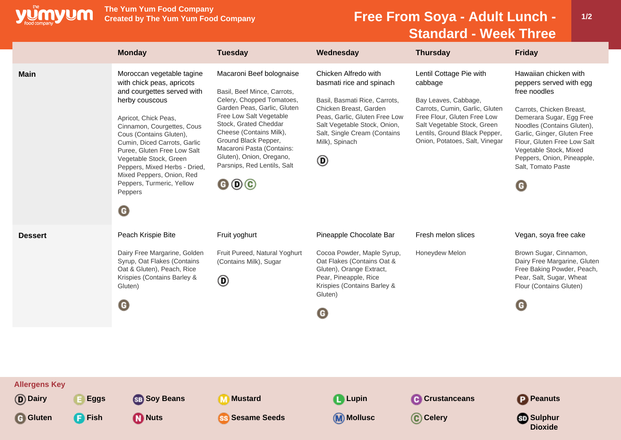

**The Yum Yum Food Company**

## **Free From Soya - Adult Lunch -Standard - Week Three**

|                                   | <b>Monday</b>                                                                                                                                                                                                                                                                                                                                                                                                   | <b>Tuesday</b>                                                                                                                                                                                                                                                                                                                                                          | Wednesday                                                                                                                                                                                                                           | <b>Thursday</b>                                                                                                                                                                                                               | <b>Friday</b>                                                                                                                                                                                                                                                                                                          |
|-----------------------------------|-----------------------------------------------------------------------------------------------------------------------------------------------------------------------------------------------------------------------------------------------------------------------------------------------------------------------------------------------------------------------------------------------------------------|-------------------------------------------------------------------------------------------------------------------------------------------------------------------------------------------------------------------------------------------------------------------------------------------------------------------------------------------------------------------------|-------------------------------------------------------------------------------------------------------------------------------------------------------------------------------------------------------------------------------------|-------------------------------------------------------------------------------------------------------------------------------------------------------------------------------------------------------------------------------|------------------------------------------------------------------------------------------------------------------------------------------------------------------------------------------------------------------------------------------------------------------------------------------------------------------------|
| <b>Main</b>                       | Moroccan vegetable tagine<br>with chick peas, apricots<br>and courgettes served with<br>herby couscous<br>Apricot, Chick Peas,<br>Cinnamon, Courgettes, Cous<br>Cous (Contains Gluten),<br>Cumin, Diced Carrots, Garlic<br>Puree, Gluten Free Low Salt<br>Vegetable Stock, Green<br>Peppers, Mixed Herbs - Dried,<br>Mixed Peppers, Onion, Red<br>Peppers, Turmeric, Yellow<br>Peppers<br>$\boldsymbol{\Theta}$ | Macaroni Beef bolognaise<br>Basil, Beef Mince, Carrots,<br>Celery, Chopped Tomatoes,<br>Garden Peas, Garlic, Gluten<br>Free Low Salt Vegetable<br>Stock, Grated Cheddar<br>Cheese (Contains Milk),<br>Ground Black Pepper,<br>Macaroni Pasta (Contains:<br>Gluten), Onion, Oregano,<br>Parsnips, Red Lentils, Salt<br>$\mathbf{\Theta} \mathbf{\Theta} \mathbf{\Theta}$ | Chicken Alfredo with<br>basmati rice and spinach<br>Basil, Basmati Rice, Carrots,<br>Chicken Breast, Garden<br>Peas, Garlic, Gluten Free Low<br>Salt Vegetable Stock, Onion,<br>Salt, Single Cream (Contains<br>Milk), Spinach<br>◉ | Lentil Cottage Pie with<br>cabbage<br>Bay Leaves, Cabbage,<br>Carrots, Cumin, Garlic, Gluten<br>Free Flour, Gluten Free Low<br>Salt Vegetable Stock, Green<br>Lentils, Ground Black Pepper,<br>Onion, Potatoes, Salt, Vinegar | Hawaiian chicken with<br>peppers served with egg<br>free noodles<br>Carrots, Chicken Breast,<br>Demerara Sugar, Egg Free<br>Noodles (Contains Gluten),<br>Garlic, Ginger, Gluten Free<br>Flour, Gluten Free Low Salt<br>Vegetable Stock, Mixed<br>Peppers, Onion, Pineapple,<br>Salt, Tomato Paste<br>$\mathbf \Theta$ |
| <b>Dessert</b>                    | Peach Krispie Bite<br>Dairy Free Margarine, Golden<br>Syrup, Oat Flakes (Contains<br>Oat & Gluten), Peach, Rice<br>Krispies (Contains Barley &<br>Gluten)<br>$\mathbf \Theta$                                                                                                                                                                                                                                   | Fruit yoghurt<br>Fruit Pureed, Natural Yoghurt<br>(Contains Milk), Sugar<br>◉                                                                                                                                                                                                                                                                                           | Pineapple Chocolate Bar<br>Cocoa Powder, Maple Syrup,<br>Oat Flakes (Contains Oat &<br>Gluten), Orange Extract,<br>Pear, Pineapple, Rice<br>Krispies (Contains Barley &<br>Gluten)<br>O                                             | Fresh melon slices<br>Honeydew Melon                                                                                                                                                                                          | Vegan, soya free cake<br>Brown Sugar, Cinnamon,<br>Dairy Free Margarine, Gluten<br>Free Baking Powder, Peach,<br>Pear, Salt, Sugar, Wheat<br>Flour (Contains Gluten)<br>G                                                                                                                                              |
| <b>Allergens Key</b><br>(D) Dairy | <b>Eggs</b><br><b>SB</b> Soy Beans                                                                                                                                                                                                                                                                                                                                                                              | <b>Mustard</b><br>M                                                                                                                                                                                                                                                                                                                                                     | <b>Lupin</b>                                                                                                                                                                                                                        | <b>C</b> Crustanceans                                                                                                                                                                                                         | <b>P</b> Peanuts                                                                                                                                                                                                                                                                                                       |
| <b>G</b> Gluten<br><b>P</b> Fish  | <b>D</b> Nuts                                                                                                                                                                                                                                                                                                                                                                                                   | <b>Sesame Seeds</b><br><b>SS</b>                                                                                                                                                                                                                                                                                                                                        | <b>M</b> Mollusc                                                                                                                                                                                                                    | C Celery                                                                                                                                                                                                                      | <b>Sulphur</b><br><b>Dioxide</b>                                                                                                                                                                                                                                                                                       |